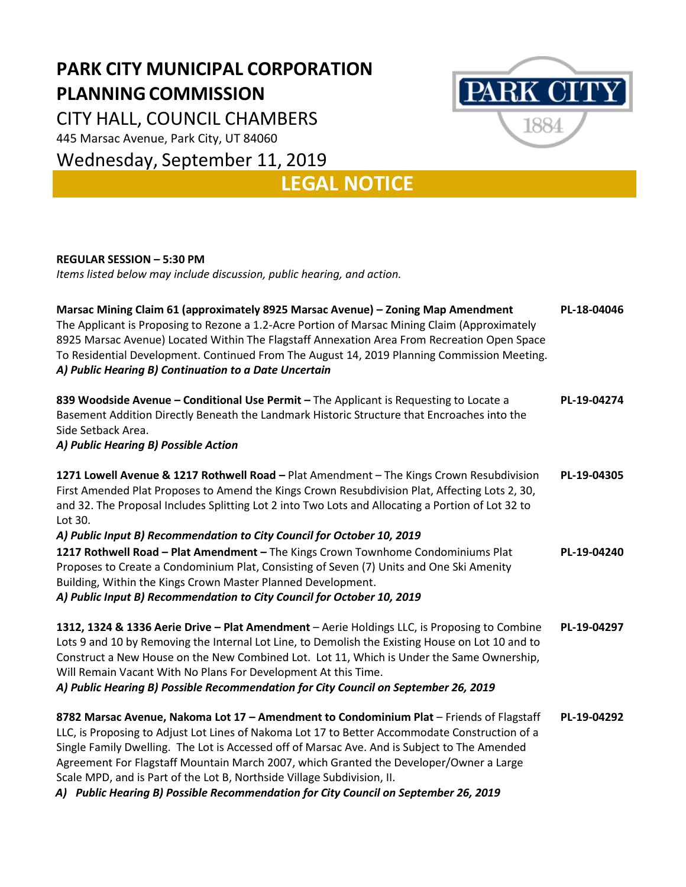## **PARK CITY MUNICIPAL CORPORATION PLANNINGCOMMISSION**

CITY HALL, COUNCIL CHAMBERS

445 Marsac Avenue, Park City, UT 84060

Wednesday, September 11, 2019



**LEGAL NOTICE**

## **REGULAR SESSION – 5:30 PM**

*Items listed below may include discussion, public hearing, and action.*

| Marsac Mining Claim 61 (approximately 8925 Marsac Avenue) - Zoning Map Amendment<br>The Applicant is Proposing to Rezone a 1.2-Acre Portion of Marsac Mining Claim (Approximately<br>8925 Marsac Avenue) Located Within The Flagstaff Annexation Area From Recreation Open Space<br>To Residential Development. Continued From The August 14, 2019 Planning Commission Meeting.<br>A) Public Hearing B) Continuation to a Date Uncertain                                                                                                               | PL-18-04046 |
|--------------------------------------------------------------------------------------------------------------------------------------------------------------------------------------------------------------------------------------------------------------------------------------------------------------------------------------------------------------------------------------------------------------------------------------------------------------------------------------------------------------------------------------------------------|-------------|
| 839 Woodside Avenue - Conditional Use Permit - The Applicant is Requesting to Locate a<br>Basement Addition Directly Beneath the Landmark Historic Structure that Encroaches into the<br>Side Setback Area.<br>A) Public Hearing B) Possible Action                                                                                                                                                                                                                                                                                                    | PL-19-04274 |
| 1271 Lowell Avenue & 1217 Rothwell Road - Plat Amendment - The Kings Crown Resubdivision<br>First Amended Plat Proposes to Amend the Kings Crown Resubdivision Plat, Affecting Lots 2, 30,<br>and 32. The Proposal Includes Splitting Lot 2 into Two Lots and Allocating a Portion of Lot 32 to<br>Lot 30.<br>A) Public Input B) Recommendation to City Council for October 10, 2019                                                                                                                                                                   | PL-19-04305 |
| 1217 Rothwell Road - Plat Amendment - The Kings Crown Townhome Condominiums Plat<br>Proposes to Create a Condominium Plat, Consisting of Seven (7) Units and One Ski Amenity<br>Building, Within the Kings Crown Master Planned Development.<br>A) Public Input B) Recommendation to City Council for October 10, 2019                                                                                                                                                                                                                                 | PL-19-04240 |
| 1312, 1324 & 1336 Aerie Drive - Plat Amendment - Aerie Holdings LLC, is Proposing to Combine<br>Lots 9 and 10 by Removing the Internal Lot Line, to Demolish the Existing House on Lot 10 and to<br>Construct a New House on the New Combined Lot. Lot 11, Which is Under the Same Ownership,<br>Will Remain Vacant With No Plans For Development At this Time.<br>A) Public Hearing B) Possible Recommendation for City Council on September 26, 2019                                                                                                 | PL-19-04297 |
| 8782 Marsac Avenue, Nakoma Lot 17 - Amendment to Condominium Plat - Friends of Flagstaff<br>LLC, is Proposing to Adjust Lot Lines of Nakoma Lot 17 to Better Accommodate Construction of a<br>Single Family Dwelling. The Lot is Accessed off of Marsac Ave. And is Subject to The Amended<br>Agreement For Flagstaff Mountain March 2007, which Granted the Developer/Owner a Large<br>Scale MPD, and is Part of the Lot B, Northside Village Subdivision, II.<br>A) Public Hearing B) Possible Recommendation for City Council on September 26, 2019 | PL-19-04292 |